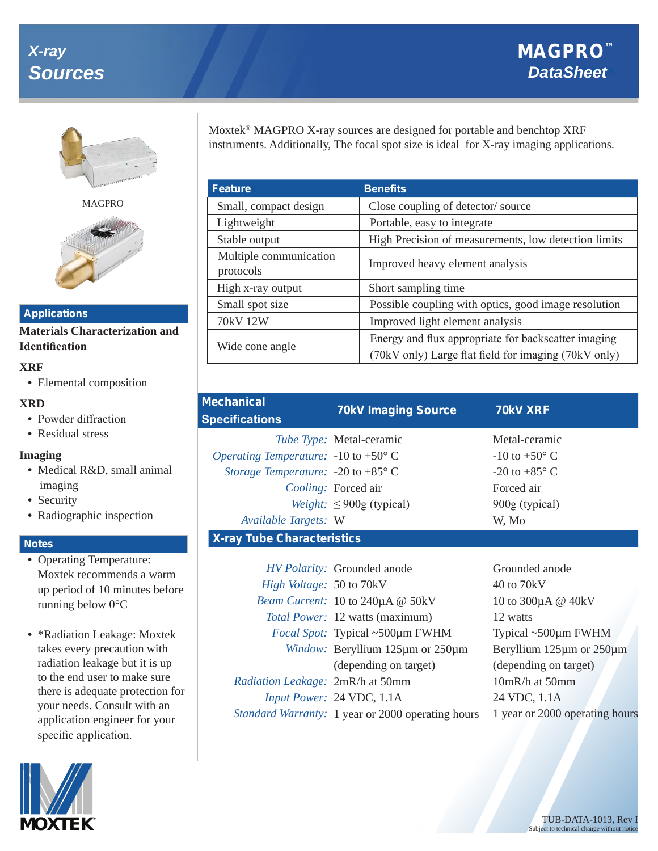# *X-ray* **Sources**



MAGPRO



#### **Applications**

**Materials Characterization and Identification** 

#### **XRF**

**•** Elemental composition

### **XRD**

- **•** Powder diffraction
- Residual stress

### **Imaging**

- **•** Medical R&D, small animal imaging
- **•** Security
- **•** Radiographic inspection

## **Notes**

- **•** Operating Temperature: Moxtek recommends a warm up period of 10 minutes before running below 0°C
- **•** \*Radiation Leakage: Moxtek takes every precaution with radiation leakage but it is up to the end user to make sure there is adequate protection for your needs. Consult with an application engineer for your specific application.



| <b>Feature</b>                      | <b>Benefits</b>                                                                                             |  |  |
|-------------------------------------|-------------------------------------------------------------------------------------------------------------|--|--|
| Small, compact design               | Close coupling of detector/source                                                                           |  |  |
| Lightweight                         | Portable, easy to integrate                                                                                 |  |  |
| Stable output                       | High Precision of measurements, low detection limits                                                        |  |  |
| Multiple communication<br>protocols | Improved heavy element analysis                                                                             |  |  |
| High x-ray output                   | Short sampling time                                                                                         |  |  |
| Small spot size                     | Possible coupling with optics, good image resolution                                                        |  |  |
| 70kV 12W                            | Improved light element analysis                                                                             |  |  |
| Wide cone angle                     | Energy and flux appropriate for backscatter imaging<br>(70kV only) Large flat field for imaging (70kV only) |  |  |

| <b>Mechanical</b><br><b>Specifications</b>      | <b>70kV Imaging Source</b>      | <b>70kV XRF</b>          |  |  |  |
|-------------------------------------------------|---------------------------------|--------------------------|--|--|--|
|                                                 | <i>Tube Type:</i> Metal-ceramic | Metal-ceramic            |  |  |  |
| Operating Temperature: $-10$ to $+50^{\circ}$ C |                                 | $-10$ to $+50^{\circ}$ C |  |  |  |
| Storage Temperature: -20 to +85 $\degree$ C     |                                 | $-20$ to $+85^{\circ}$ C |  |  |  |
|                                                 | Cooling: Forced air             | Forced air               |  |  |  |
|                                                 | Weight: $\leq 900$ g (typical)  | 900g (typical)           |  |  |  |
| Available Targets: W                            |                                 | W, Mo                    |  |  |  |
| <b>X-ray Tube Characteristics</b>               |                                 |                          |  |  |  |
|                                                 |                                 |                          |  |  |  |

|                                         | HV Polarity: Grounded anode                       | Grounded anode                     |  |  |
|-----------------------------------------|---------------------------------------------------|------------------------------------|--|--|
| <i>High Voltage:</i> 50 to 70kV         |                                                   | 40 to 70kV                         |  |  |
|                                         | Beam Current: 10 to 240µA @ 50kV                  | 10 to 300μA @ 40kV                 |  |  |
|                                         | Total Power: 12 watts (maximum)                   | 12 watts                           |  |  |
|                                         | <i>Focal Spot:</i> Typical ~500µm FWHM            | Typical $\sim$ 500 $\mu$ m FWHM    |  |  |
|                                         | Window: Beryllium 125µm or 250µm                  | Beryllium $125\mu$ m or $250\mu$ m |  |  |
|                                         | (depending on target)                             | (depending on target)              |  |  |
| <i>Radiation Leakage: 2mR/h at 50mm</i> |                                                   | $10mR/h$ at $50mm$                 |  |  |
|                                         | Input Power: 24 VDC, 1.1A                         | 24 VDC, 1.1A                       |  |  |
|                                         | Standard Warranty: 1 year or 2000 operating hours | 1 year or 2000 operating hours     |  |  |
|                                         |                                                   |                                    |  |  |